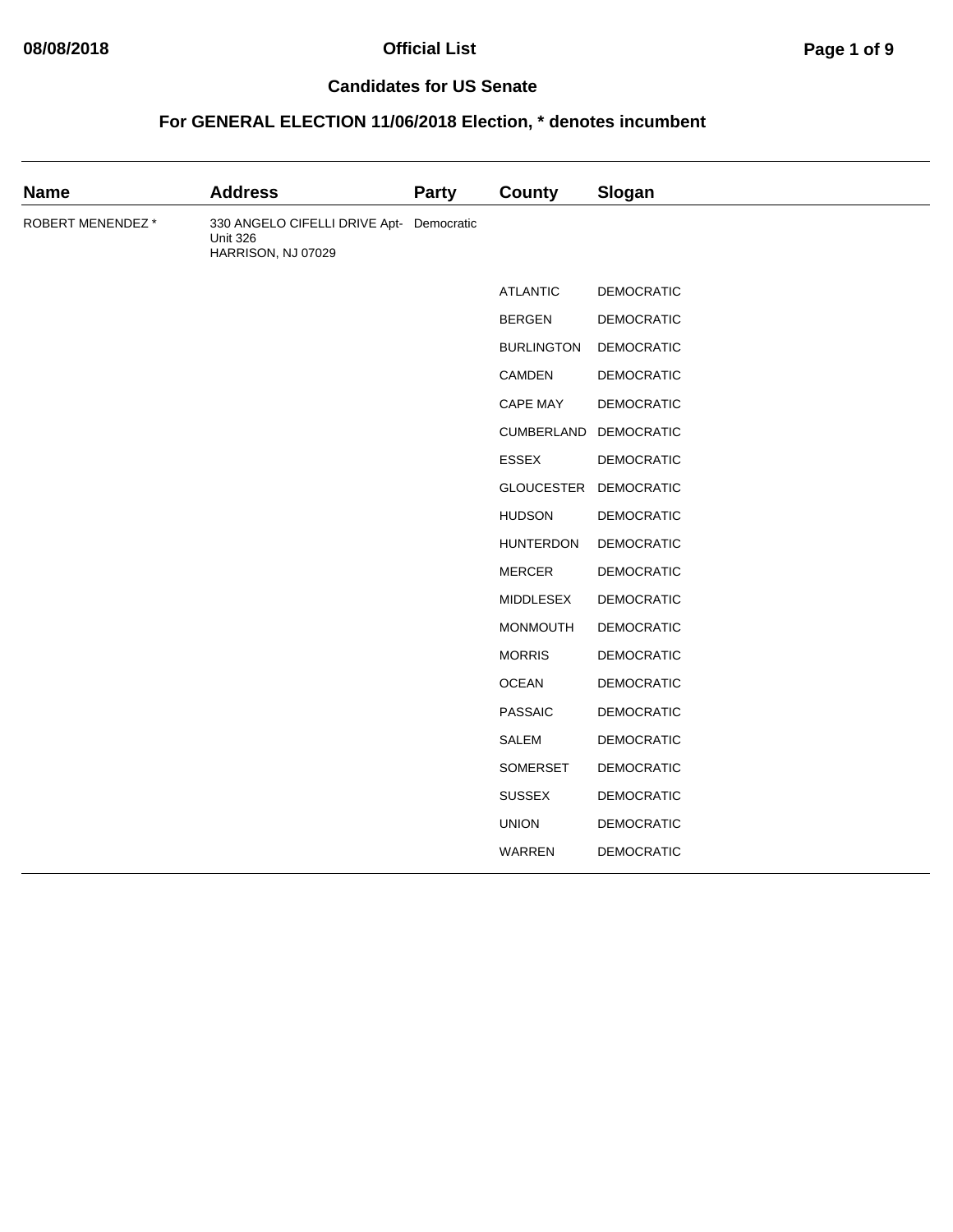| <b>Name</b>       | <b>Address</b>                                                                    | <b>Party</b> | County            | Slogan            |
|-------------------|-----------------------------------------------------------------------------------|--------------|-------------------|-------------------|
| ROBERT MENENDEZ * | 330 ANGELO CIFELLI DRIVE Apt- Democratic<br><b>Unit 326</b><br>HARRISON, NJ 07029 |              |                   |                   |
|                   |                                                                                   |              | <b>ATLANTIC</b>   | <b>DEMOCRATIC</b> |
|                   |                                                                                   |              | <b>BERGEN</b>     | <b>DEMOCRATIC</b> |
|                   |                                                                                   |              | <b>BURLINGTON</b> | <b>DEMOCRATIC</b> |
|                   |                                                                                   |              | CAMDEN            | <b>DEMOCRATIC</b> |
|                   |                                                                                   |              | <b>CAPE MAY</b>   | <b>DEMOCRATIC</b> |
|                   |                                                                                   |              | CUMBERLAND        | <b>DEMOCRATIC</b> |
|                   |                                                                                   |              | <b>ESSEX</b>      | DEMOCRATIC        |
|                   |                                                                                   |              | <b>GLOUCESTER</b> | <b>DEMOCRATIC</b> |
|                   |                                                                                   |              | <b>HUDSON</b>     | <b>DEMOCRATIC</b> |
|                   |                                                                                   |              | <b>HUNTERDON</b>  | <b>DEMOCRATIC</b> |
|                   |                                                                                   |              | <b>MERCER</b>     | <b>DEMOCRATIC</b> |
|                   |                                                                                   |              | MIDDLESEX         | DEMOCRATIC        |
|                   |                                                                                   |              | <b>MONMOUTH</b>   | <b>DEMOCRATIC</b> |
|                   |                                                                                   |              | <b>MORRIS</b>     | <b>DEMOCRATIC</b> |
|                   |                                                                                   |              | <b>OCEAN</b>      | <b>DEMOCRATIC</b> |
|                   |                                                                                   |              | <b>PASSAIC</b>    | DEMOCRATIC        |
|                   |                                                                                   |              | <b>SALEM</b>      | <b>DEMOCRATIC</b> |
|                   |                                                                                   |              | SOMERSET          | <b>DEMOCRATIC</b> |
|                   |                                                                                   |              | <b>SUSSEX</b>     | <b>DEMOCRATIC</b> |
|                   |                                                                                   |              | <b>UNION</b>      | <b>DEMOCRATIC</b> |
|                   |                                                                                   |              | WARREN            | DEMOCRATIC        |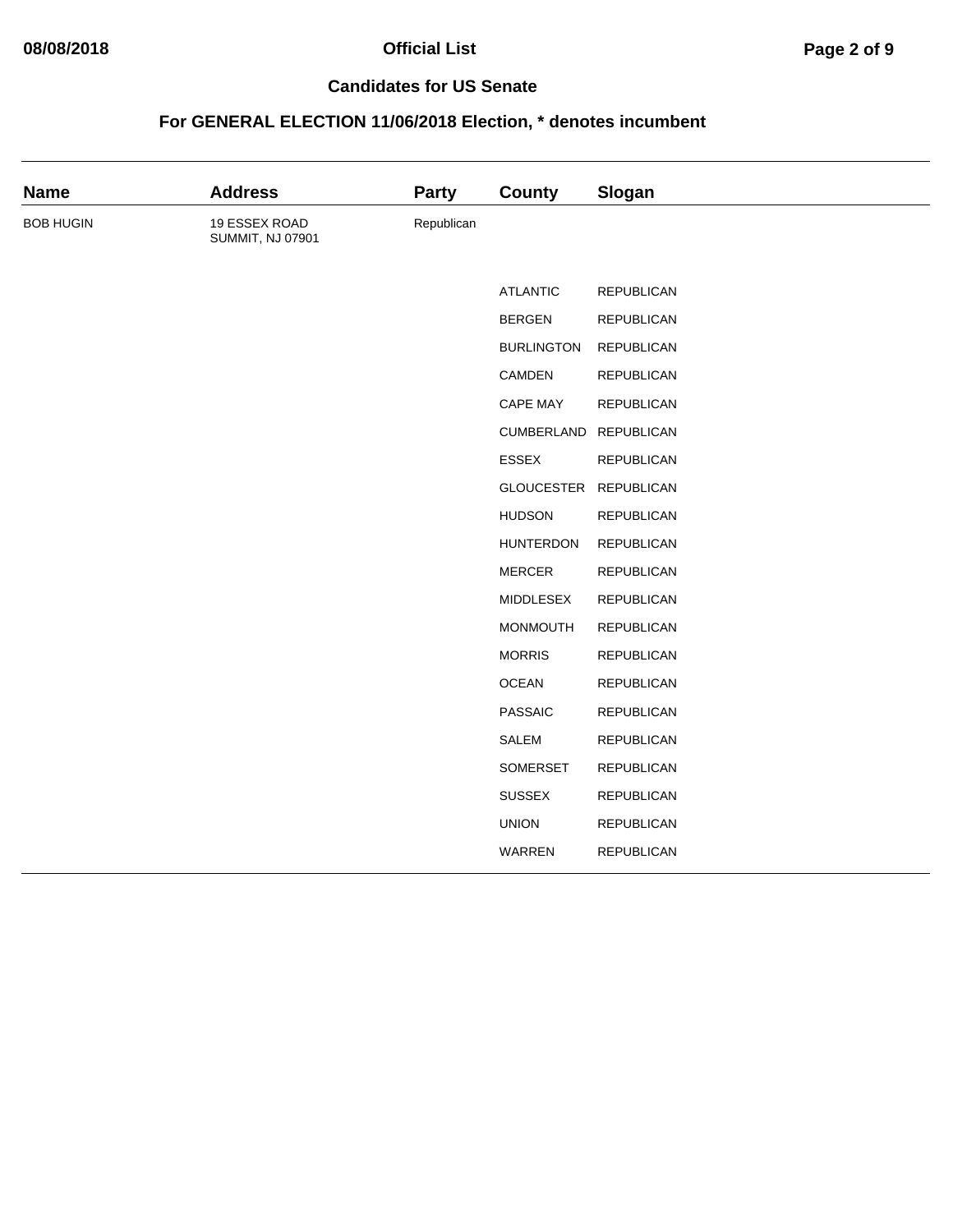# **08/08/2018 Official List Page 2 of 9**

#### **Candidates for US Senate**

| <b>Name</b>      | <b>Address</b>                           | <b>Party</b> | <b>County</b>     | Slogan            |
|------------------|------------------------------------------|--------------|-------------------|-------------------|
| <b>BOB HUGIN</b> | 19 ESSEX ROAD<br><b>SUMMIT, NJ 07901</b> | Republican   |                   |                   |
|                  |                                          |              | <b>ATLANTIC</b>   | <b>REPUBLICAN</b> |
|                  |                                          |              | <b>BERGEN</b>     | <b>REPUBLICAN</b> |
|                  |                                          |              | <b>BURLINGTON</b> | <b>REPUBLICAN</b> |
|                  |                                          |              | CAMDEN            | <b>REPUBLICAN</b> |
|                  |                                          |              | CAPE MAY          | REPUBLICAN        |
|                  |                                          |              | CUMBERLAND        | <b>REPUBLICAN</b> |
|                  |                                          |              | ESSEX             | <b>REPUBLICAN</b> |
|                  |                                          |              | <b>GLOUCESTER</b> | <b>REPUBLICAN</b> |
|                  |                                          |              | <b>HUDSON</b>     | <b>REPUBLICAN</b> |
|                  |                                          |              | <b>HUNTERDON</b>  | <b>REPUBLICAN</b> |
|                  |                                          |              | <b>MERCER</b>     | REPUBLICAN        |
|                  |                                          |              | MIDDLESEX         | <b>REPUBLICAN</b> |
|                  |                                          |              | <b>MONMOUTH</b>   | <b>REPUBLICAN</b> |
|                  |                                          |              | <b>MORRIS</b>     | <b>REPUBLICAN</b> |
|                  |                                          |              | <b>OCEAN</b>      | <b>REPUBLICAN</b> |
|                  |                                          |              | <b>PASSAIC</b>    | <b>REPUBLICAN</b> |
|                  |                                          |              | <b>SALEM</b>      | <b>REPUBLICAN</b> |
|                  |                                          |              | SOMERSET          | <b>REPUBLICAN</b> |
|                  |                                          |              | <b>SUSSEX</b>     | <b>REPUBLICAN</b> |
|                  |                                          |              | <b>UNION</b>      | <b>REPUBLICAN</b> |
|                  |                                          |              | WARREN            | <b>REPUBLICAN</b> |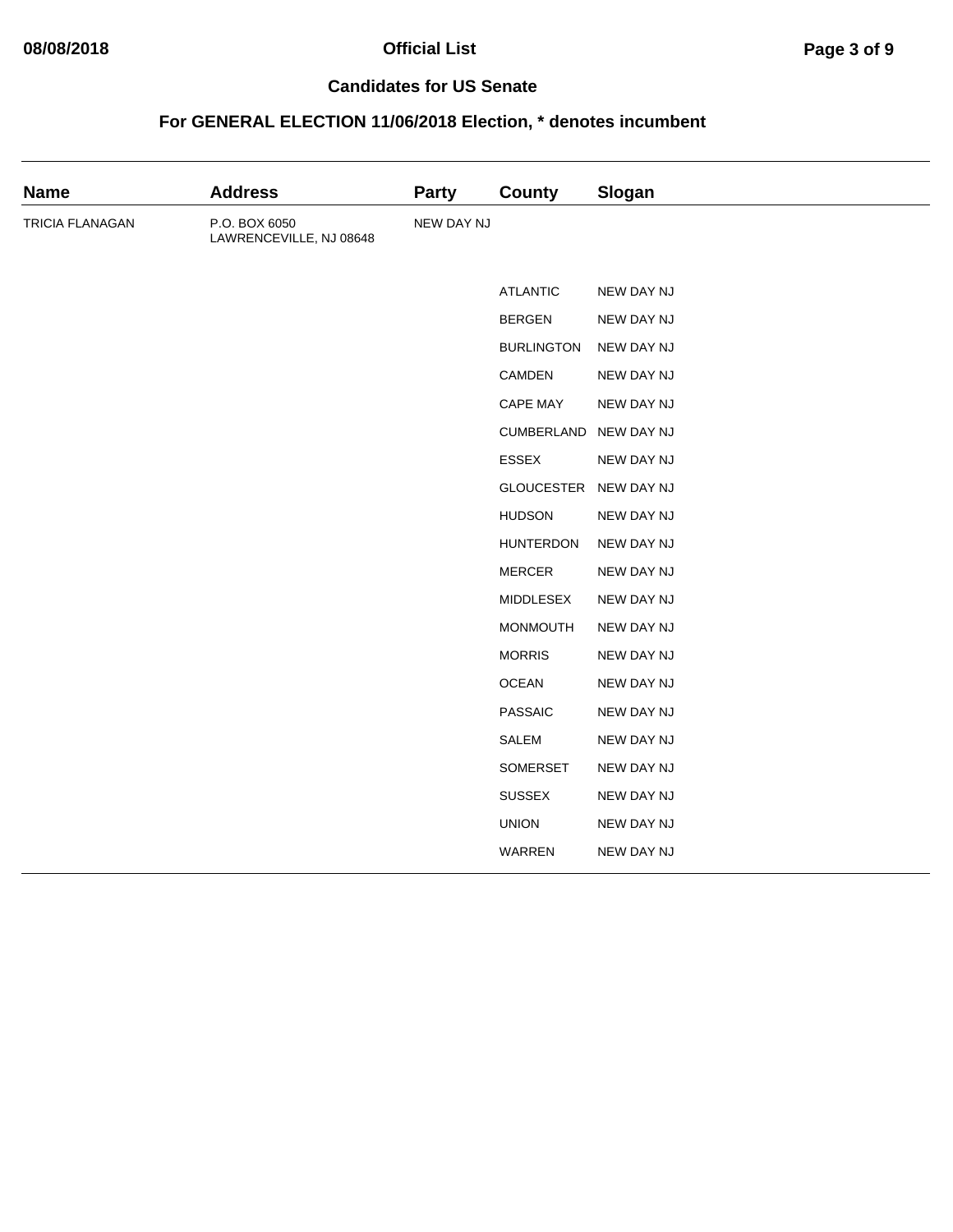# **08/08/2018 Official List Page 3 of 9**

#### **Candidates for US Senate**

| <b>Name</b>     | <b>Address</b>                           | <b>Party</b> | <b>County</b>     | Slogan     |
|-----------------|------------------------------------------|--------------|-------------------|------------|
| TRICIA FLANAGAN | P.O. BOX 6050<br>LAWRENCEVILLE, NJ 08648 | NEW DAY NJ   |                   |            |
|                 |                                          |              | <b>ATLANTIC</b>   | NEW DAY NJ |
|                 |                                          |              | <b>BERGEN</b>     | NEW DAY NJ |
|                 |                                          |              | <b>BURLINGTON</b> | NEW DAY NJ |
|                 |                                          |              | CAMDEN            | NEW DAY NJ |
|                 |                                          |              | CAPE MAY          | NEW DAY NJ |
|                 |                                          |              | CUMBERLAND        | NEW DAY NJ |
|                 |                                          |              | <b>ESSEX</b>      | NEW DAY NJ |
|                 |                                          |              | <b>GLOUCESTER</b> | NEW DAY NJ |
|                 |                                          |              | <b>HUDSON</b>     | NEW DAY NJ |
|                 |                                          |              | <b>HUNTERDON</b>  | NEW DAY NJ |
|                 |                                          |              | <b>MERCER</b>     | NEW DAY NJ |
|                 |                                          |              | MIDDLESEX         | NEW DAY NJ |
|                 |                                          |              | MONMOUTH          | NEW DAY NJ |
|                 |                                          |              | <b>MORRIS</b>     | NEW DAY NJ |
|                 |                                          |              | <b>OCEAN</b>      | NEW DAY NJ |
|                 |                                          |              | <b>PASSAIC</b>    | NEW DAY NJ |
|                 |                                          |              | SALEM             | NEW DAY NJ |
|                 |                                          |              | SOMERSET          | NEW DAY NJ |
|                 |                                          |              | <b>SUSSEX</b>     | NEW DAY NJ |
|                 |                                          |              | <b>UNION</b>      | NEW DAY NJ |
|                 |                                          |              | WARREN            | NEW DAY NJ |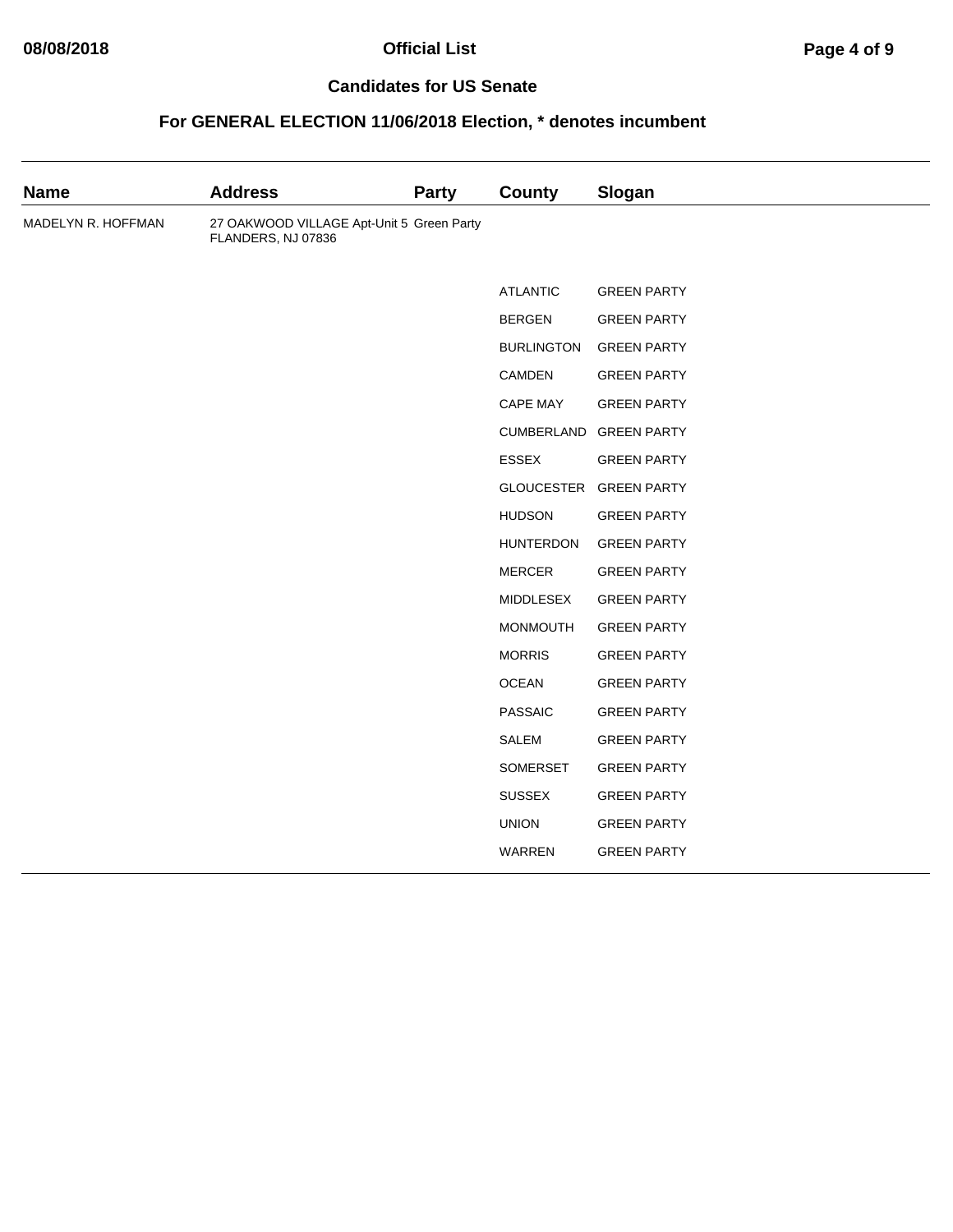# **08/08/2018 Official List Page 4 of 9**

#### **Candidates for US Senate**

| <b>Name</b>        | <b>Address</b>                                                  | <b>Party</b> | <b>County</b>     | Slogan             |
|--------------------|-----------------------------------------------------------------|--------------|-------------------|--------------------|
| MADELYN R. HOFFMAN | 27 OAKWOOD VILLAGE Apt-Unit 5 Green Party<br>FLANDERS, NJ 07836 |              |                   |                    |
|                    |                                                                 |              | <b>ATLANTIC</b>   | <b>GREEN PARTY</b> |
|                    |                                                                 |              | <b>BERGEN</b>     | <b>GREEN PARTY</b> |
|                    |                                                                 |              | <b>BURLINGTON</b> | <b>GREEN PARTY</b> |
|                    |                                                                 |              | CAMDEN            | <b>GREEN PARTY</b> |
|                    |                                                                 |              | CAPE MAY          | <b>GREEN PARTY</b> |
|                    |                                                                 |              | CUMBERLAND        | <b>GREEN PARTY</b> |
|                    |                                                                 |              | <b>ESSEX</b>      | <b>GREEN PARTY</b> |
|                    |                                                                 |              | <b>GLOUCESTER</b> | <b>GREEN PARTY</b> |
|                    |                                                                 |              | <b>HUDSON</b>     | <b>GREEN PARTY</b> |
|                    |                                                                 |              | <b>HUNTERDON</b>  | <b>GREEN PARTY</b> |
|                    |                                                                 |              | <b>MERCER</b>     | <b>GREEN PARTY</b> |
|                    |                                                                 |              | MIDDLESEX         | <b>GREEN PARTY</b> |
|                    |                                                                 |              | <b>MONMOUTH</b>   | <b>GREEN PARTY</b> |
|                    |                                                                 |              | <b>MORRIS</b>     | <b>GREEN PARTY</b> |
|                    |                                                                 |              | <b>OCEAN</b>      | <b>GREEN PARTY</b> |
|                    |                                                                 |              | <b>PASSAIC</b>    | <b>GREEN PARTY</b> |
|                    |                                                                 |              | <b>SALEM</b>      | <b>GREEN PARTY</b> |
|                    |                                                                 |              | SOMERSET          | <b>GREEN PARTY</b> |
|                    |                                                                 |              | <b>SUSSEX</b>     | <b>GREEN PARTY</b> |
|                    |                                                                 |              | <b>UNION</b>      | <b>GREEN PARTY</b> |
|                    |                                                                 |              | WARREN            | <b>GREEN PARTY</b> |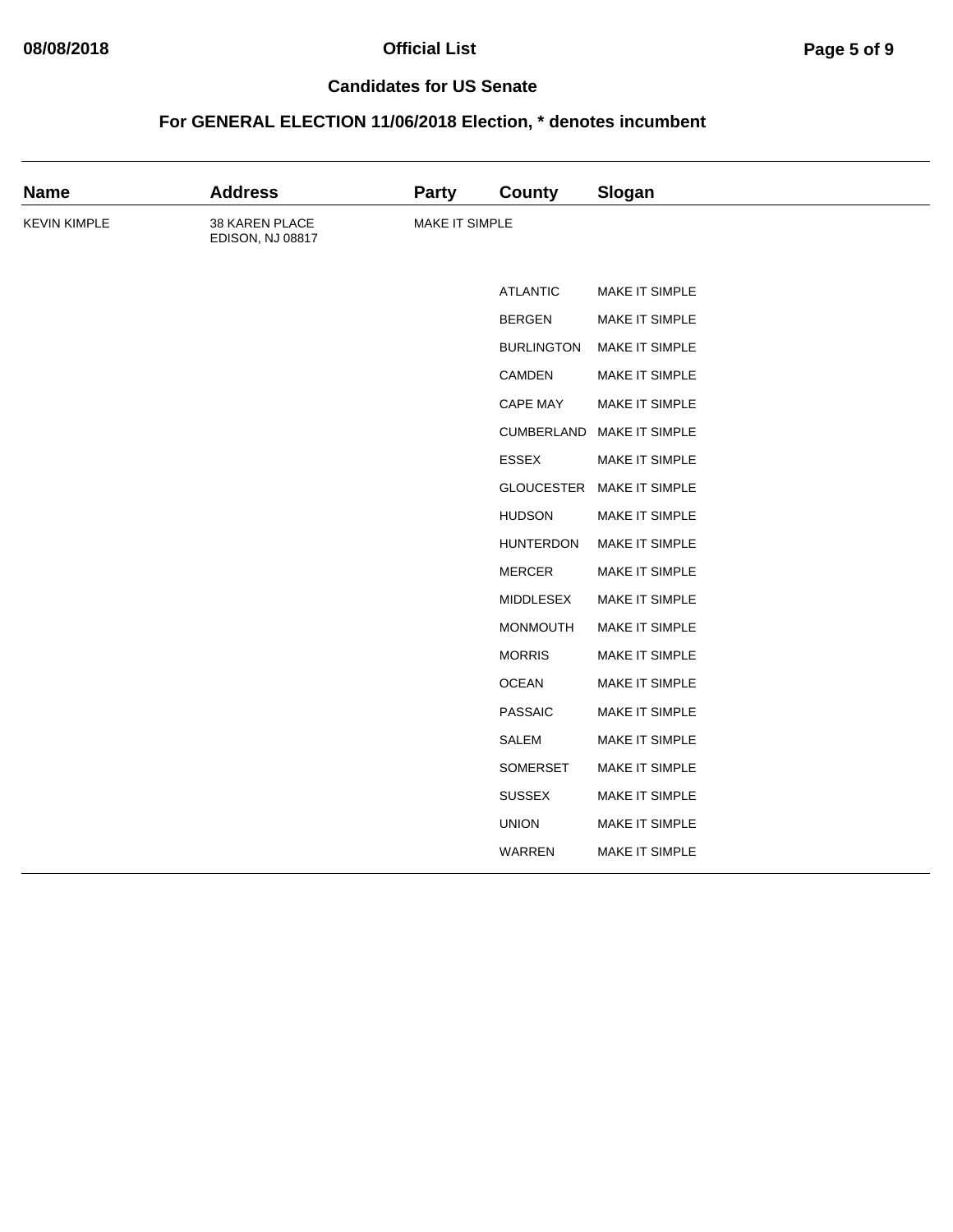| <b>Name</b>         | <b>Address</b>                     | <b>Party</b>   | <b>County</b>     | Slogan                    |
|---------------------|------------------------------------|----------------|-------------------|---------------------------|
| <b>KEVIN KIMPLE</b> | 38 KAREN PLACE<br>EDISON, NJ 08817 | MAKE IT SIMPLE |                   |                           |
|                     |                                    |                | <b>ATLANTIC</b>   | MAKE IT SIMPLE            |
|                     |                                    |                | <b>BERGEN</b>     | MAKE IT SIMPLE            |
|                     |                                    |                | <b>BURLINGTON</b> | MAKE IT SIMPLE            |
|                     |                                    |                | CAMDEN            | MAKE IT SIMPLE            |
|                     |                                    |                | <b>CAPE MAY</b>   | MAKE IT SIMPLE            |
|                     |                                    |                | CUMBERLAND        | MAKE IT SIMPLE            |
|                     |                                    |                | <b>ESSEX</b>      | MAKE IT SIMPLE            |
|                     |                                    |                |                   | GLOUCESTER MAKE IT SIMPLE |
|                     |                                    |                | <b>HUDSON</b>     | MAKE IT SIMPLE            |
|                     |                                    |                | <b>HUNTERDON</b>  | MAKE IT SIMPLE            |
|                     |                                    |                | <b>MERCER</b>     | MAKE IT SIMPLE            |
|                     |                                    |                | <b>MIDDLESEX</b>  | MAKE IT SIMPLE            |
|                     |                                    |                | <b>MONMOUTH</b>   | MAKE IT SIMPLE            |
|                     |                                    |                | <b>MORRIS</b>     | MAKE IT SIMPLE            |
|                     |                                    |                | <b>OCEAN</b>      | MAKE IT SIMPLE            |
|                     |                                    |                | <b>PASSAIC</b>    | MAKE IT SIMPLE            |
|                     |                                    |                | <b>SALEM</b>      | MAKE IT SIMPLE            |
|                     |                                    |                | SOMERSET          | MAKE IT SIMPLE            |
|                     |                                    |                | <b>SUSSEX</b>     | MAKE IT SIMPLE            |
|                     |                                    |                | <b>UNION</b>      | MAKE IT SIMPLE            |
|                     |                                    |                | <b>WARREN</b>     | MAKE IT SIMPLE            |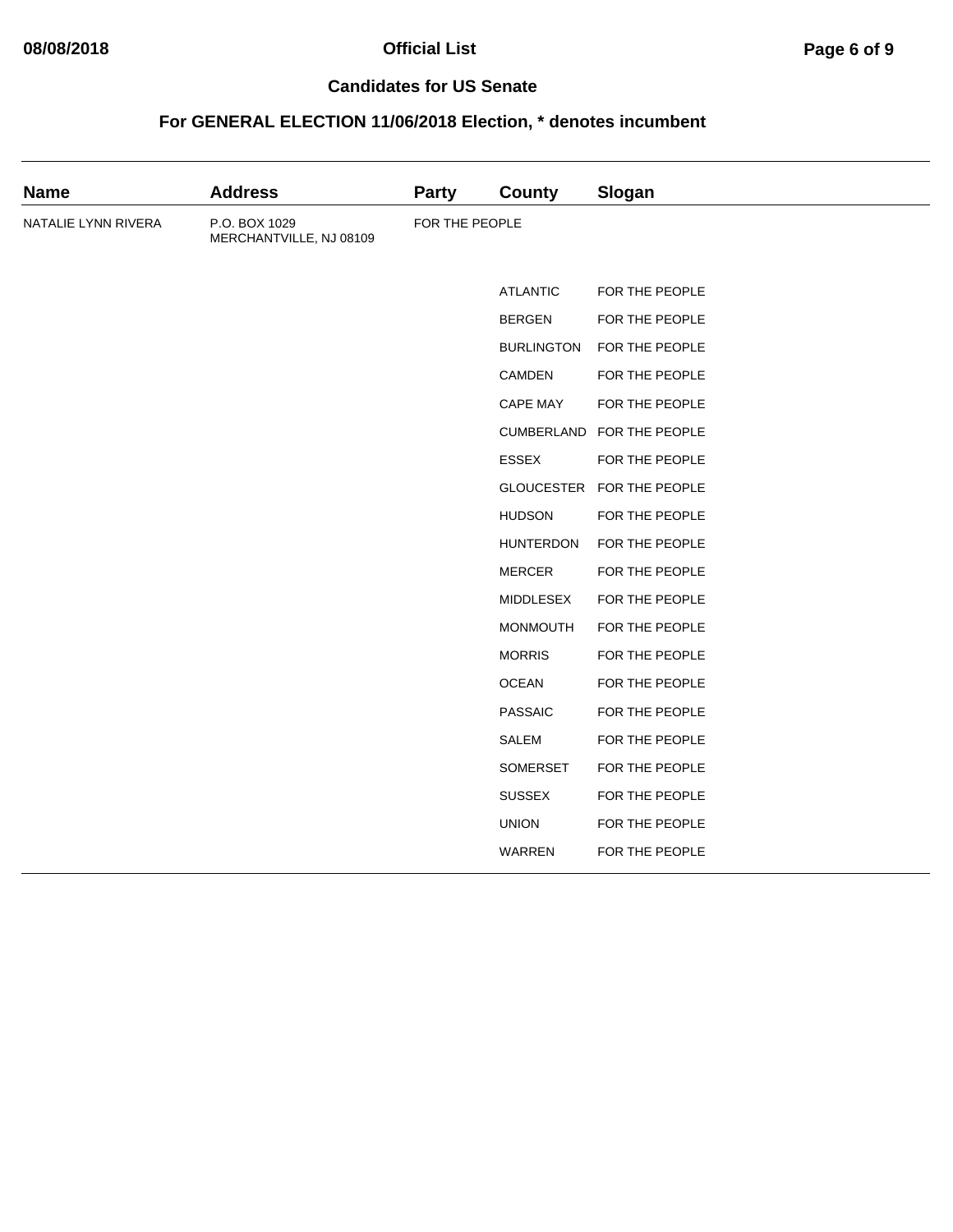| <b>Name</b>         | <b>Address</b>                           | <b>Party</b>   | County            | Slogan                    |
|---------------------|------------------------------------------|----------------|-------------------|---------------------------|
| NATALIE LYNN RIVERA | P.O. BOX 1029<br>MERCHANTVILLE, NJ 08109 | FOR THE PEOPLE |                   |                           |
|                     |                                          |                | <b>ATLANTIC</b>   | FOR THE PEOPLE            |
|                     |                                          |                | <b>BERGEN</b>     | FOR THE PEOPLE            |
|                     |                                          |                | <b>BURLINGTON</b> | FOR THE PEOPLE            |
|                     |                                          |                | CAMDEN            | FOR THE PEOPLE            |
|                     |                                          |                | CAPE MAY          | FOR THE PEOPLE            |
|                     |                                          |                |                   | CUMBERLAND FOR THE PEOPLE |
|                     |                                          |                | <b>ESSEX</b>      | FOR THE PEOPLE            |
|                     |                                          |                |                   | GLOUCESTER FOR THE PEOPLE |
|                     |                                          |                | <b>HUDSON</b>     | FOR THE PEOPLE            |
|                     |                                          |                | <b>HUNTERDON</b>  | FOR THE PEOPLE            |
|                     |                                          |                | <b>MERCER</b>     | FOR THE PEOPLE            |
|                     |                                          |                | <b>MIDDLESEX</b>  | FOR THE PEOPLE            |
|                     |                                          |                | <b>MONMOUTH</b>   | FOR THE PEOPLE            |
|                     |                                          |                | <b>MORRIS</b>     | FOR THE PEOPLE            |
|                     |                                          |                | <b>OCEAN</b>      | FOR THE PEOPLE            |
|                     |                                          |                | <b>PASSAIC</b>    | FOR THE PEOPLE            |
|                     |                                          |                | <b>SALEM</b>      | FOR THE PEOPLE            |
|                     |                                          |                | SOMERSET          | FOR THE PEOPLE            |
|                     |                                          |                | <b>SUSSEX</b>     | FOR THE PEOPLE            |
|                     |                                          |                | <b>UNION</b>      | FOR THE PEOPLE            |
|                     |                                          |                | WARREN            | FOR THE PEOPLE            |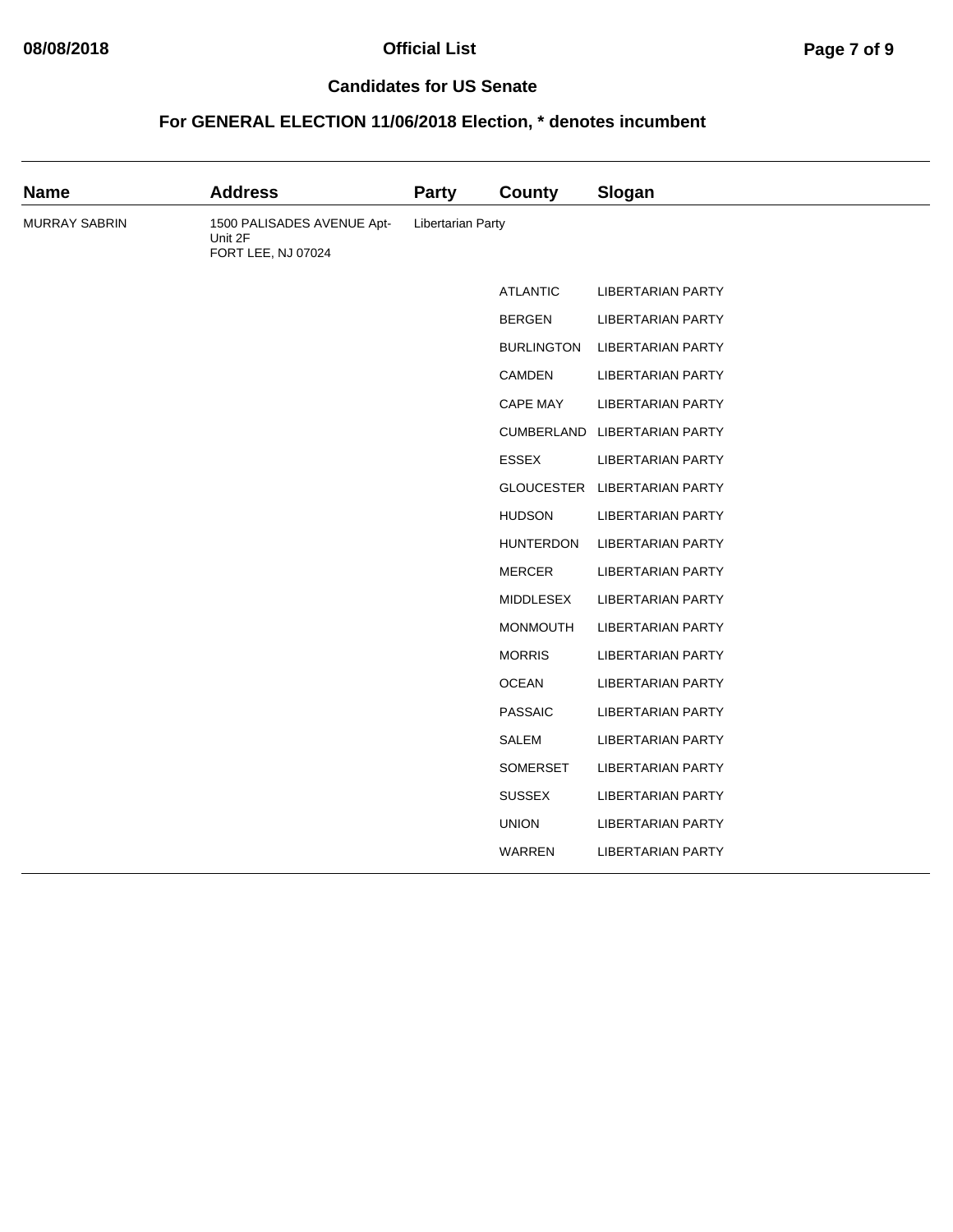| <b>Name</b>   | <b>Address</b>                                              | <b>Party</b>      | <b>County</b>     | Slogan                       |
|---------------|-------------------------------------------------------------|-------------------|-------------------|------------------------------|
| MURRAY SABRIN | 1500 PALISADES AVENUE Apt-<br>Unit 2F<br>FORT LEE, NJ 07024 | Libertarian Party |                   |                              |
|               |                                                             |                   | <b>ATLANTIC</b>   | <b>LIBERTARIAN PARTY</b>     |
|               |                                                             |                   | <b>BERGEN</b>     | <b>LIBERTARIAN PARTY</b>     |
|               |                                                             |                   | <b>BURLINGTON</b> | <b>LIBERTARIAN PARTY</b>     |
|               |                                                             |                   | <b>CAMDEN</b>     | <b>LIBERTARIAN PARTY</b>     |
|               |                                                             |                   | CAPE MAY          | <b>LIBERTARIAN PARTY</b>     |
|               |                                                             |                   |                   | CUMBERLAND LIBERTARIAN PARTY |
|               |                                                             |                   | <b>ESSEX</b>      | <b>LIBERTARIAN PARTY</b>     |
|               |                                                             |                   |                   | GLOUCESTER LIBERTARIAN PARTY |
|               |                                                             |                   | <b>HUDSON</b>     | <b>LIBERTARIAN PARTY</b>     |
|               |                                                             |                   | <b>HUNTERDON</b>  | <b>LIBERTARIAN PARTY</b>     |
|               |                                                             |                   | <b>MERCER</b>     | <b>LIBERTARIAN PARTY</b>     |
|               |                                                             |                   | <b>MIDDLESEX</b>  | <b>LIBERTARIAN PARTY</b>     |
|               |                                                             |                   | MONMOUTH          | <b>LIBERTARIAN PARTY</b>     |
|               |                                                             |                   | <b>MORRIS</b>     | <b>LIBERTARIAN PARTY</b>     |
|               |                                                             |                   | <b>OCEAN</b>      | <b>LIBERTARIAN PARTY</b>     |
|               |                                                             |                   | <b>PASSAIC</b>    | <b>LIBERTARIAN PARTY</b>     |
|               |                                                             |                   | SALEM             | <b>LIBERTARIAN PARTY</b>     |
|               |                                                             |                   | <b>SOMERSET</b>   | <b>LIBERTARIAN PARTY</b>     |
|               |                                                             |                   | <b>SUSSEX</b>     | <b>LIBERTARIAN PARTY</b>     |
|               |                                                             |                   | <b>UNION</b>      | <b>LIBERTARIAN PARTY</b>     |
|               |                                                             |                   | WARREN            | <b>LIBERTARIAN PARTY</b>     |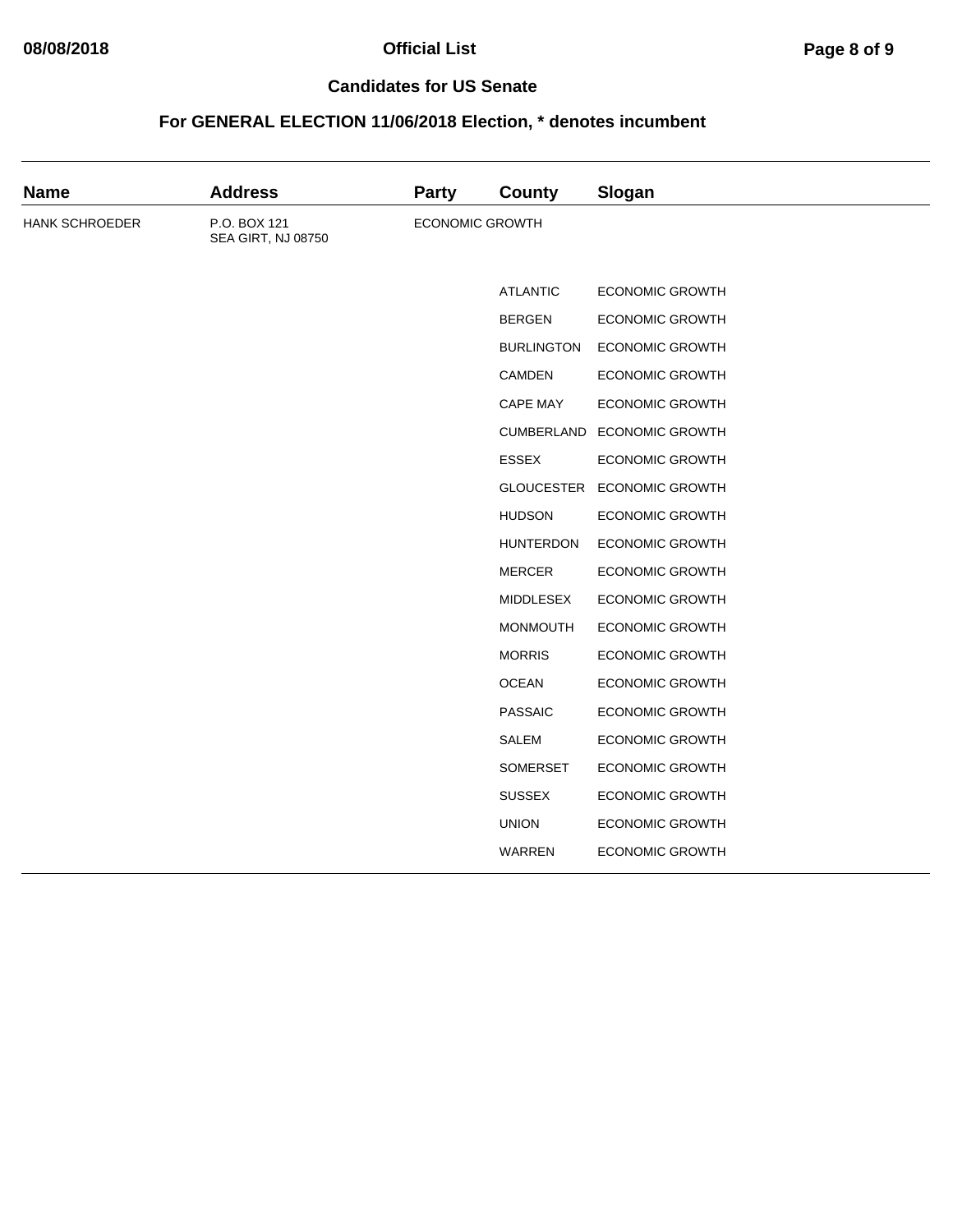# **08/08/2018 Official List Page 8 of 9**

#### **Candidates for US Senate**

| <b>Name</b>    | <b>Address</b>                     | <b>Party</b>           | <b>County</b>     | Slogan                 |
|----------------|------------------------------------|------------------------|-------------------|------------------------|
| HANK SCHROEDER | P.O. BOX 121<br>SEA GIRT, NJ 08750 | <b>ECONOMIC GROWTH</b> |                   |                        |
|                |                                    |                        | <b>ATLANTIC</b>   | <b>ECONOMIC GROWTH</b> |
|                |                                    |                        | <b>BERGEN</b>     | <b>ECONOMIC GROWTH</b> |
|                |                                    |                        | <b>BURLINGTON</b> | <b>ECONOMIC GROWTH</b> |
|                |                                    |                        | CAMDEN            | <b>ECONOMIC GROWTH</b> |
|                |                                    |                        | CAPE MAY          | <b>ECONOMIC GROWTH</b> |
|                |                                    |                        | CUMBERLAND        | <b>ECONOMIC GROWTH</b> |
|                |                                    |                        | <b>ESSEX</b>      | <b>ECONOMIC GROWTH</b> |
|                |                                    |                        | GLOUCESTER        | <b>ECONOMIC GROWTH</b> |
|                |                                    |                        | <b>HUDSON</b>     | <b>ECONOMIC GROWTH</b> |
|                |                                    |                        | <b>HUNTERDON</b>  | <b>ECONOMIC GROWTH</b> |
|                |                                    |                        | <b>MERCER</b>     | <b>ECONOMIC GROWTH</b> |
|                |                                    |                        | <b>MIDDLESEX</b>  | <b>ECONOMIC GROWTH</b> |
|                |                                    |                        | <b>MONMOUTH</b>   | <b>ECONOMIC GROWTH</b> |
|                |                                    |                        | <b>MORRIS</b>     | <b>ECONOMIC GROWTH</b> |
|                |                                    |                        | <b>OCEAN</b>      | <b>ECONOMIC GROWTH</b> |
|                |                                    |                        | <b>PASSAIC</b>    | <b>ECONOMIC GROWTH</b> |
|                |                                    |                        | <b>SALEM</b>      | <b>ECONOMIC GROWTH</b> |
|                |                                    |                        | SOMERSET          | <b>ECONOMIC GROWTH</b> |
|                |                                    |                        | <b>SUSSEX</b>     | <b>ECONOMIC GROWTH</b> |
|                |                                    |                        | <b>UNION</b>      | <b>ECONOMIC GROWTH</b> |
|                |                                    |                        | WARREN            | <b>ECONOMIC GROWTH</b> |